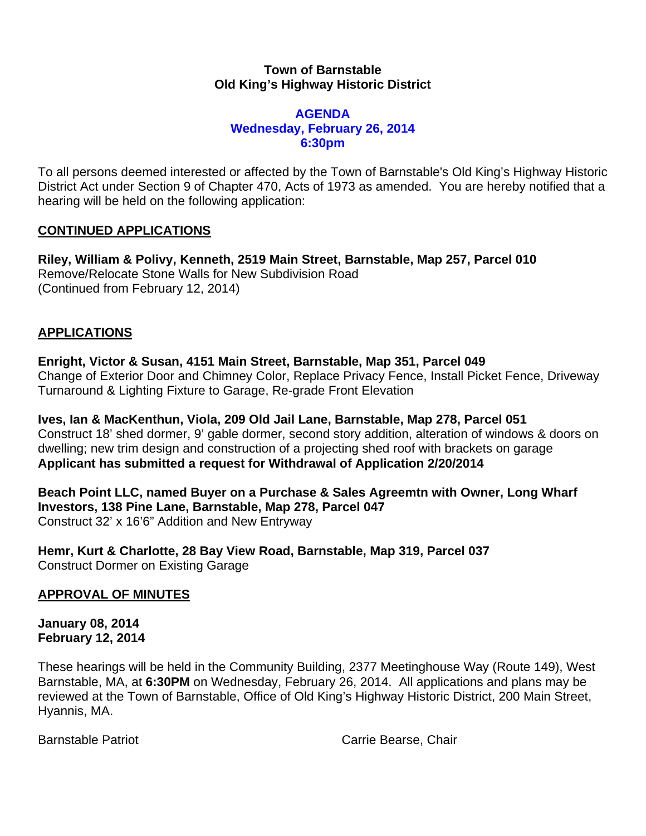### **Town of Barnstable Old King's Highway Historic District**

### **AGENDA Wednesday, February 26, 2014 6:30pm**

To all persons deemed interested or affected by the Town of Barnstable's Old King's Highway Historic District Act under Section 9 of Chapter 470, Acts of 1973 as amended. You are hereby notified that a hearing will be held on the following application:

## **CONTINUED APPLICATIONS**

**Riley, William & Polivy, Kenneth, 2519 Main Street, Barnstable, Map 257, Parcel 010**  Remove/Relocate Stone Walls for New Subdivision Road (Continued from February 12, 2014)

## **APPLICATIONS**

**Enright, Victor & Susan, 4151 Main Street, Barnstable, Map 351, Parcel 049**  Change of Exterior Door and Chimney Color, Replace Privacy Fence, Install Picket Fence, Driveway Turnaround & Lighting Fixture to Garage, Re-grade Front Elevation

**Ives, Ian & MacKenthun, Viola, 209 Old Jail Lane, Barnstable, Map 278, Parcel 051**  Construct 18' shed dormer, 9' gable dormer, second story addition, alteration of windows & doors on dwelling; new trim design and construction of a projecting shed roof with brackets on garage **Applicant has submitted a request for Withdrawal of Application 2/20/2014** 

**Beach Point LLC, named Buyer on a Purchase & Sales Agreemtn with Owner, Long Wharf Investors, 138 Pine Lane, Barnstable, Map 278, Parcel 047**  Construct 32' x 16'6" Addition and New Entryway

**Hemr, Kurt & Charlotte, 28 Bay View Road, Barnstable, Map 319, Parcel 037**  Construct Dormer on Existing Garage

# **APPROVAL OF MINUTES**

**January 08, 2014 February 12, 2014** 

These hearings will be held in the Community Building, 2377 Meetinghouse Way (Route 149), West Barnstable, MA, at **6:30PM** on Wednesday, February 26, 2014. All applications and plans may be reviewed at the Town of Barnstable, Office of Old King's Highway Historic District, 200 Main Street, Hyannis, MA.

Barnstable Patriot **Carrie Bearse**, Chair